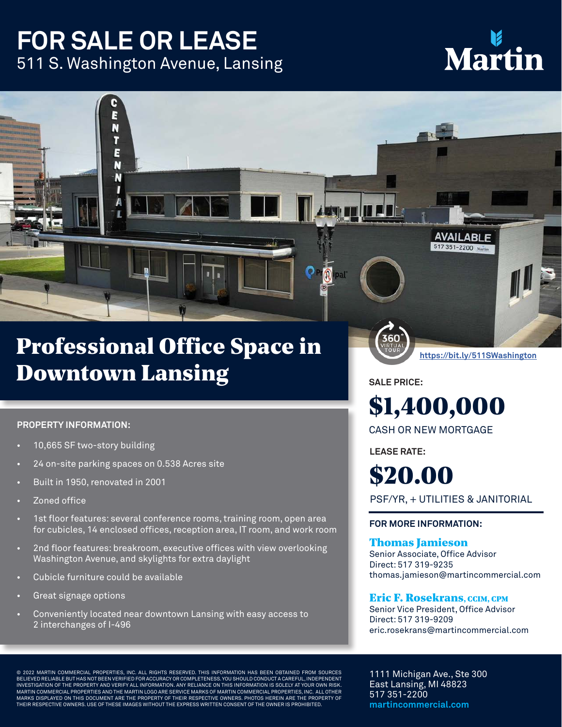### **FOR SALE OR LEASE** 511 S. Washington Avenue, Lansing

Ē N π E N N

# Marti

### Professional Office Space in Downtown Lansing

#### **PROPERTY INFORMATION:**

- 10,665 SF two-story building
- 24 on-site parking spaces on 0.538 Acres site
- Built in 1950, renovated in 2001
- Zoned office
- 1st floor features: several conference rooms, training room, open area for cubicles, 14 enclosed offices, reception area, IT room, and work room
- 2nd floor features: breakroom, executive offices with view overlooking Washington Avenue, and skylights for extra daylight
- Cubicle furniture could be available
- Great signage options
- Conveniently located near downtown Lansing with easy access to 2 interchanges of I-496

**SALE PRICE:**

## \$1,400,000

**https://bit.ly/511SWashington**

**AVAILABLE** 517 351-2200 Mar

CASH OR NEW MORTGAGE

**LEASE RATE:**

\$20.00

PSF/YR, + UTILITIES & JANITORIAL

#### **FOR MORE INFORMATION:**

#### Thomas Jamieson

Senior Associate, Office Advisor Direct: 517 319-9235 thomas.jamieson@martincommercial.com

#### Eric F. Rosekrans, CCIM, CPM

Senior Vice President, Office Advisor Direct: 517 319-9209 eric.rosekrans@martincommercial.com

© 2022 MARTIN COMMERCIAL PROPERTIES, INC. ALL RIGHTS RESERVED. THIS INFORMATION HAS BEEN OBTAINED FROM SOURCES<br>BELIEVED RELIABLE BUT HAS NOT BEEN VERIFIED FOR ACCURACY OR COMPLETENESS. YOU SHOULD CONDUCT A CAREFUL, INDEPEN INVESTIGATION OF THE PROPERTY AND VERIFY ALL INFORMATION. ANY RELIANCE ON THIS INFORMATION IS SOLELY AT YOUR OWN RISK. MARTIN COMMERCIAL PROPERTIES AND THE MARTIN LOGO ARE SERVICE MARKS OF MARTIN COMMERCIAL PROPERTIES, INC. ALL OTHER<br>MARKS DISPLAYED ON THIS DOCUMENT ARE THE PROPERTY OF THEIR RESPECTIVE OWNERS. PHOTOS HEREIN ARE THE PROPERT THEIR RESPECTIVE OWNERS. USE OF THESE IMAGES WITHOUT THE EXPRESS WRITTEN CONSENT OF THE OWNER IS PROHIBITED.

1111 Michigan Ave., Ste 300 East Lansing, MI 48823 517 351-2200 **martincommercial.com**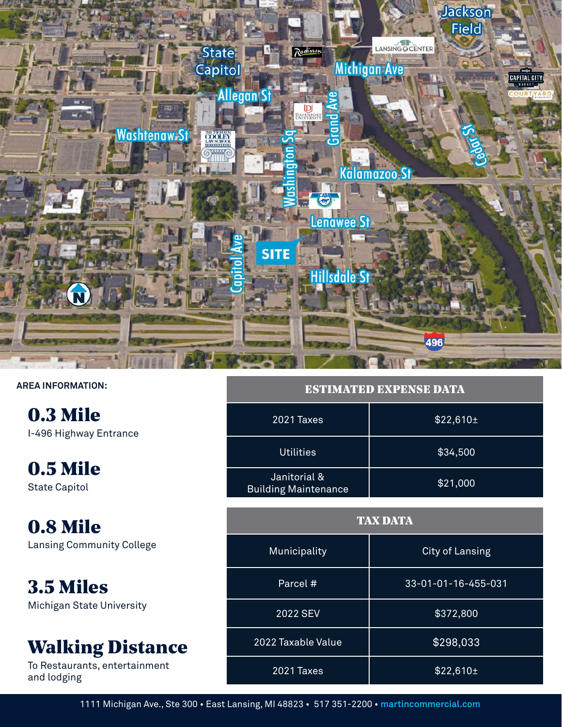

#### **AREA INFORMATION:**

0.3 Mile I-496 Highway Entrance

0.5 Mile State Capitol

0.8 Mile Lansing Community College

3.5 Miles Michigan State University

### Walking Distance

To Restaurants, entertainment and lodging

| <b>ESTIMATED EXPENSE DATA</b>               |               |  |
|---------------------------------------------|---------------|--|
| 2021 Taxes                                  | $$22,610 \pm$ |  |
| <b>Utilities</b>                            | \$34,500      |  |
| Janitorial &<br><b>Building Maintenance</b> | \$21,000      |  |

| <b>TAX DATA</b>    |                        |
|--------------------|------------------------|
| Municipality       | <b>City of Lansing</b> |
| Parcel #           | 33-01-01-16-455-031    |
| 2022 SEV           | \$372,800              |
| 2022 Taxable Value | \$298,033              |
| 2021 Taxes         | $$22,610 \pm$          |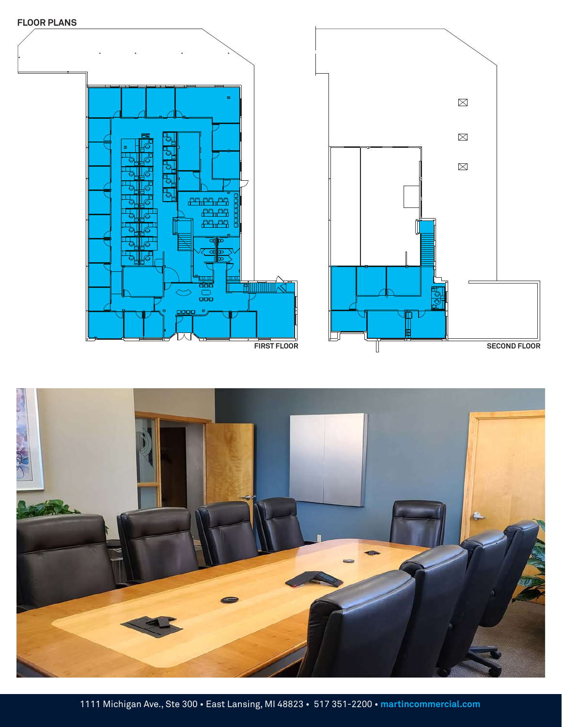